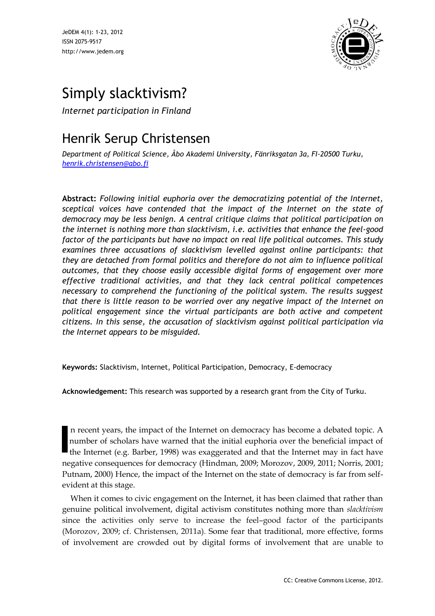JeDEM 4(1): 1-23, 2012 ISSN 2075-9517 http://www.jedem.org



# Simply slacktivism?

*Internet participation in Finland* 

## Henrik Serup Christensen

*Department of Political Science, Åbo Akademi University, Fänriksgatan 3a, FI-20500 Turku, [henrik.christensen@abo.fi](mailto:henrik.christensen@abo.fi)*

**Abstract:** *Following initial euphoria over the democratizing potential of the Internet, sceptical voices have contended that the impact of the Internet on the state of democracy may be less benign. A central critique claims that political participation on the internet is nothing more than slacktivism, i.e. activities that enhance the feel-good factor of the participants but have no impact on real life political outcomes. This study examines three accusations of slacktivism levelled against online participants: that they are detached from formal politics and therefore do not aim to influence political outcomes, that they choose easily accessible digital forms of engagement over more effective traditional activities, and that they lack central political competences necessary to comprehend the functioning of the political system. The results suggest that there is little reason to be worried over any negative impact of the Internet on political engagement since the virtual participants are both active and competent citizens. In this sense, the accusation of slacktivism against political participation via the Internet appears to be misguided.*

**Keywords:** Slacktivism, Internet, Political Participation, Democracy, E-democracy

**Acknowledgement:** This research was supported by a research grant from the City of Turku.

n recent years, the impact of the Internet on democracy has become a debated topic. A number of scholars have warned that the initial euphoria over the beneficial impact of the Internet (e.g. Barber, 1998) was exaggerated and that the Internet may in fact have negative consequences for democracy (Hindman, 2009; Morozov, 2009, 2011; Norris, 2001; Putnam, 2000) Hence, the impact of the Internet on the state of democracy is far from selfevident at this stage.

When it comes to civic engagement on the Internet, it has been claimed that rather than genuine political involvement, digital activism constitutes nothing more than *slacktivism* since the activities only serve to increase the feel–good factor of the participants (Morozov, 2009; cf. Christensen, 2011a). Some fear that traditional, more effective, forms of involvement are crowded out by digital forms of involvement that are unable to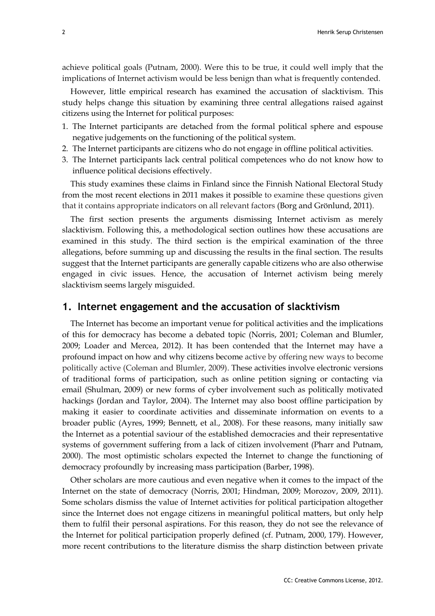achieve political goals (Putnam, 2000). Were this to be true, it could well imply that the implications of Internet activism would be less benign than what is frequently contended.

However, little empirical research has examined the accusation of slacktivism. This study helps change this situation by examining three central allegations raised against citizens using the Internet for political purposes:

- 1. The Internet participants are detached from the formal political sphere and espouse negative judgements on the functioning of the political system.
- 2. The Internet participants are citizens who do not engage in offline political activities.
- 3. The Internet participants lack central political competences who do not know how to influence political decisions effectively.

This study examines these claims in Finland since the Finnish National Electoral Study from the most recent elections in 2011 makes it possible to examine these questions given that it contains appropriate indicators on all relevant factors (Borg and Grönlund, 2011).

The first section presents the arguments dismissing Internet activism as merely slacktivism. Following this, a methodological section outlines how these accusations are examined in this study. The third section is the empirical examination of the three allegations, before summing up and discussing the results in the final section. The results suggest that the Internet participants are generally capable citizens who are also otherwise engaged in civic issues. Hence, the accusation of Internet activism being merely slacktivism seems largely misguided.

### **1. Internet engagement and the accusation of slacktivism**

The Internet has become an important venue for political activities and the implications of this for democracy has become a debated topic (Norris, 2001; Coleman and Blumler, 2009; Loader and Mercea, 2012). It has been contended that the Internet may have a profound impact on how and why citizens become active by offering new ways to become politically active (Coleman and Blumler, 2009). These activities involve electronic versions of traditional forms of participation, such as online petition signing or contacting via email (Shulman, 2009) or new forms of cyber involvement such as politically motivated hackings (Jordan and Taylor, 2004). The Internet may also boost offline participation by making it easier to coordinate activities and disseminate information on events to a broader public (Ayres, 1999; Bennett, et al., 2008). For these reasons, many initially saw the Internet as a potential saviour of the established democracies and their representative systems of government suffering from a lack of citizen involvement (Pharr and Putnam, 2000). The most optimistic scholars expected the Internet to change the functioning of democracy profoundly by increasing mass participation (Barber, 1998).

Other scholars are more cautious and even negative when it comes to the impact of the Internet on the state of democracy (Norris, 2001; Hindman, 2009; Morozov, 2009, 2011). Some scholars dismiss the value of Internet activities for political participation altogether since the Internet does not engage citizens in meaningful political matters, but only help them to fulfil their personal aspirations. For this reason, they do not see the relevance of the Internet for political participation properly defined (cf. Putnam, 2000, 179). However, more recent contributions to the literature dismiss the sharp distinction between private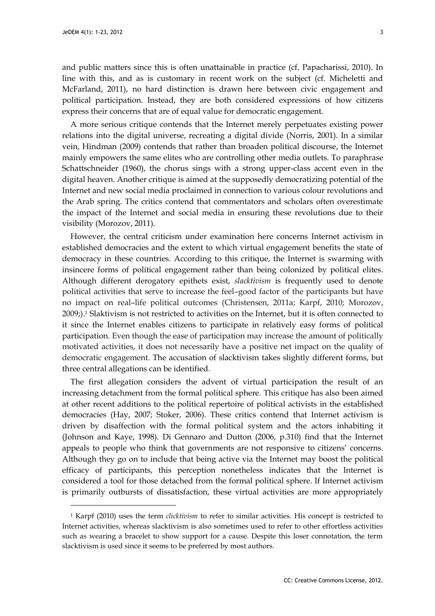l

and public matters since this is often unattainable in practice (cf. Papacharissi, 2010). In line with this, and as is customary in recent work on the subject (cf. Micheletti and McFarland, 2011), no hard distinction is drawn here between civic engagement and political participation. Instead, they are both considered expressions of how citizens express their concerns that are of equal value for democratic engagement.

A more serious critique contends that the Internet merely perpetuates existing power relations into the digital universe, recreating a digital divide (Norris, 2001). In a similar vein, Hindman (2009) contends that rather than broaden political discourse, the Internet mainly empowers the same elites who are controlling other media outlets. To paraphrase Schattschneider (1960), the chorus sings with a strong upper-class accent even in the digital heaven. Another critique is aimed at the supposedly democratizing potential of the Internet and new social media proclaimed in connection to various colour revolutions and the Arab spring. The critics contend that commentators and scholars often overestimate the impact of the Internet and social media in ensuring these revolutions due to their visibility (Morozov, 2011).

However, the central criticism under examination here concerns Internet activism in established democracies and the extent to which virtual engagement benefits the state of democracy in these countries. According to this critique, the Internet is swarming with insincere forms of political engagement rather than being colonized by political elites. Although different derogatory epithets exist, *slacktivism* is frequently used to denote political activities that serve to increase the feel–good factor of the participants but have no impact on real–life political outcomes (Christensen, 2011a; Karpf, 2010; Morozov, 2009;).<sup>1</sup> Slaktivism is not restricted to activities on the Internet, but it is often connected to it since the Internet enables citizens to participate in relatively easy forms of political participation. Even though the ease of participation may increase the amount of politically motivated activities, it does not necessarily have a positive net impact on the quality of democratic engagement. The accusation of slacktivism takes slightly different forms, but three central allegations can be identified.

The first allegation considers the advent of virtual participation the result of an increasing detachment from the formal political sphere. This critique has also been aimed at other recent additions to the political repertoire of political activists in the established democracies (Hay, 2007; Stoker, 2006). These critics contend that Internet activism is driven by disaffection with the formal political system and the actors inhabiting it (Johnson and Kaye, 1998). Di Gennaro and Dutton (2006, p.310) find that the Internet appeals to people who think that governments are not responsive to citizens' concerns. Although they go on to include that being active via the Internet may boost the political efficacy of participants, this perception nonetheless indicates that the Internet is considered a tool for those detached from the formal political sphere. If Internet activism is primarily outbursts of dissatisfaction, these virtual activities are more appropriately

<sup>1</sup> Karpf (2010) uses the term *clicktivism* to refer to similar activities. His concept is restricted to Internet activities, whereas slacktivism is also sometimes used to refer to other effortless activities such as wearing a bracelet to show support for a cause. Despite this loser connotation, the term slacktivism is used since it seems to be preferred by most authors.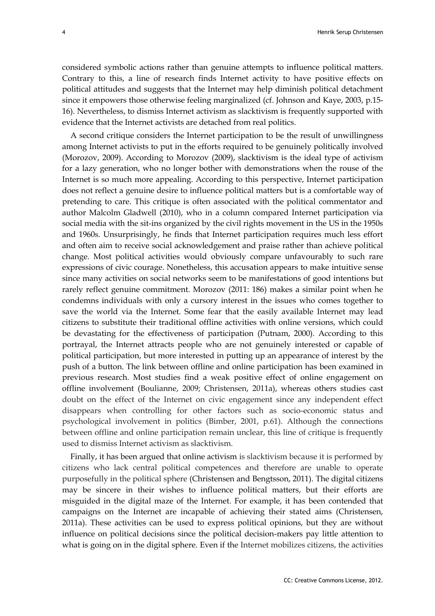considered symbolic actions rather than genuine attempts to influence political matters. Contrary to this, a line of research finds Internet activity to have positive effects on political attitudes and suggests that the Internet may help diminish political detachment since it empowers those otherwise feeling marginalized (cf. Johnson and Kaye, 2003, p.15- 16). Nevertheless, to dismiss Internet activism as slacktivism is frequently supported with evidence that the Internet activists are detached from real politics.

A second critique considers the Internet participation to be the result of unwillingness among Internet activists to put in the efforts required to be genuinely politically involved (Morozov, 2009). According to Morozov (2009), slacktivism is the ideal type of activism for a lazy generation, who no longer bother with demonstrations when the rouse of the Internet is so much more appealing. According to this perspective, Internet participation does not reflect a genuine desire to influence political matters but is a comfortable way of pretending to care. This critique is often associated with the political commentator and author Malcolm Gladwell (2010), who in a column compared Internet participation via social media with the sit-ins organized by the civil rights movement in the US in the 1950s and 1960s. Unsurprisingly, he finds that Internet participation requires much less effort and often aim to receive social acknowledgement and praise rather than achieve political change. Most political activities would obviously compare unfavourably to such rare expressions of civic courage. Nonetheless, this accusation appears to make intuitive sense since many activities on social networks seem to be manifestations of good intentions but rarely reflect genuine commitment. Morozov (2011: 186) makes a similar point when he condemns individuals with only a cursory interest in the issues who comes together to save the world via the Internet. Some fear that the easily available Internet may lead citizens to substitute their traditional offline activities with online versions, which could be devastating for the effectiveness of participation (Putnam, 2000). According to this portrayal, the Internet attracts people who are not genuinely interested or capable of political participation, but more interested in putting up an appearance of interest by the push of a button. The link between offline and online participation has been examined in previous research. Most studies find a weak positive effect of online engagement on offline involvement (Boulianne, 2009; Christensen, 2011a), whereas others studies cast doubt on the effect of the Internet on civic engagement since any independent effect disappears when controlling for other factors such as socio-economic status and psychological involvement in politics (Bimber, 2001, p.61). Although the connections between offline and online participation remain unclear, this line of critique is frequently used to dismiss Internet activism as slacktivism.

Finally, it has been argued that online activism is slacktivism because it is performed by citizens who lack central political competences and therefore are unable to operate purposefully in the political sphere (Christensen and Bengtsson, 2011). The digital citizens may be sincere in their wishes to influence political matters, but their efforts are misguided in the digital maze of the Internet. For example, it has been contended that campaigns on the Internet are incapable of achieving their stated aims (Christensen, 2011a). These activities can be used to express political opinions, but they are without influence on political decisions since the political decision-makers pay little attention to what is going on in the digital sphere. Even if the Internet mobilizes citizens, the activities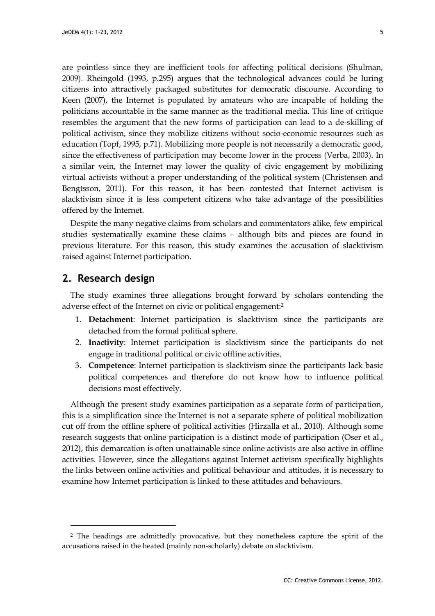are pointless since they are inefficient tools for affecting political decisions (Shulman, 2009). Rheingold (1993, p.295) argues that the technological advances could be luring citizens into attractively packaged substitutes for democratic discourse. According to Keen (2007), the Internet is populated by amateurs who are incapable of holding the politicians accountable in the same manner as the traditional media. This line of critique resembles the argument that the new forms of participation can lead to a de-skilling of political activism, since they mobilize citizens without socio-economic resources such as education (Topf, 1995, p.71). Mobilizing more people is not necessarily a democratic good, since the effectiveness of participation may become lower in the process (Verba, 2003). In a similar vein, the Internet may lower the quality of civic engagement by mobilizing virtual activists without a proper understanding of the political system (Christensen and Bengtsson, 2011). For this reason, it has been contested that Internet activism is slacktivism since it is less competent citizens who take advantage of the possibilities offered by the Internet.

Despite the many negative claims from scholars and commentators alike, few empirical studies systematically examine these claims – although bits and pieces are found in previous literature. For this reason, this study examines the accusation of slacktivism raised against Internet participation.

## **2. Research design**

l

The study examines three allegations brought forward by scholars contending the adverse effect of the Internet on civic or political engagement:<sup>2</sup>

- 1. **Detachment**: Internet participation is slacktivism since the participants are detached from the formal political sphere.
- 2. **Inactivity**: Internet participation is slacktivism since the participants do not engage in traditional political or civic offline activities.
- 3. **Competence**: Internet participation is slacktivism since the participants lack basic political competences and therefore do not know how to influence political decisions most effectively.

Although the present study examines participation as a separate form of participation, this is a simplification since the Internet is not a separate sphere of political mobilization cut off from the offline sphere of political activities (Hirzalla et al., 2010). Although some research suggests that online participation is a distinct mode of participation (Oser et al., 2012), this demarcation is often unattainable since online activists are also active in offline activities. However, since the allegations against Internet activism specifically highlights the links between online activities and political behaviour and attitudes, it is necessary to examine how Internet participation is linked to these attitudes and behaviours.

<sup>&</sup>lt;sup>2</sup> The headings are admittedly provocative, but they nonetheless capture the spirit of the accusations raised in the heated (mainly non-scholarly) debate on slacktivism.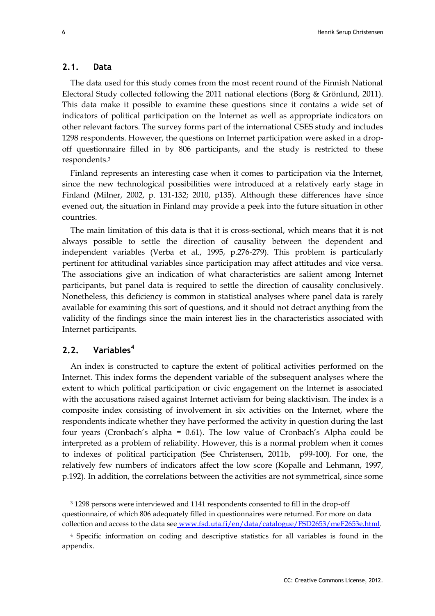#### **2.1. Data**

The data used for this study comes from the most recent round of the Finnish National Electoral Study collected following the 2011 national elections (Borg & Grönlund, 2011). This data make it possible to examine these questions since it contains a wide set of indicators of political participation on the Internet as well as appropriate indicators on other relevant factors. The survey forms part of the international CSES study and includes 1298 respondents. However, the questions on Internet participation were asked in a dropoff questionnaire filled in by 806 participants, and the study is restricted to these respondents. 3

Finland represents an interesting case when it comes to participation via the Internet, since the new technological possibilities were introduced at a relatively early stage in Finland (Milner, 2002, p. 131-132; 2010, p135). Although these differences have since evened out, the situation in Finland may provide a peek into the future situation in other countries.

The main limitation of this data is that it is cross-sectional, which means that it is not always possible to settle the direction of causality between the dependent and independent variables (Verba et al., 1995, p.276-279). This problem is particularly pertinent for attitudinal variables since participation may affect attitudes and vice versa. The associations give an indication of what characteristics are salient among Internet participants, but panel data is required to settle the direction of causality conclusively. Nonetheless, this deficiency is common in statistical analyses where panel data is rarely available for examining this sort of questions, and it should not detract anything from the validity of the findings since the main interest lies in the characteristics associated with Internet participants.

## **2.2. Variables<sup>4</sup>**

l

An index is constructed to capture the extent of political activities performed on the Internet. This index forms the dependent variable of the subsequent analyses where the extent to which political participation or civic engagement on the Internet is associated with the accusations raised against Internet activism for being slacktivism. The index is a composite index consisting of involvement in six activities on the Internet, where the respondents indicate whether they have performed the activity in question during the last four years (Cronbach's alpha = 0.61). The low value of Cronbach's Alpha could be interpreted as a problem of reliability. However, this is a normal problem when it comes to indexes of political participation (See Christensen, 2011b, p99-100). For one, the relatively few numbers of indicators affect the low score (Kopalle and Lehmann, 1997, p.192). In addition, the correlations between the activities are not symmetrical, since some

<sup>3</sup> 1298 persons were interviewed and 1141 respondents consented to fill in the drop-off questionnaire, of which 806 adequately filled in questionnaires were returned. For more on data collection and access to the data see www.fsd.uta.fi/en/data/catalogue/FSD2653/meF2653e.html.

<sup>4</sup> Specific information on coding and descriptive statistics for all variables is found in the appendix.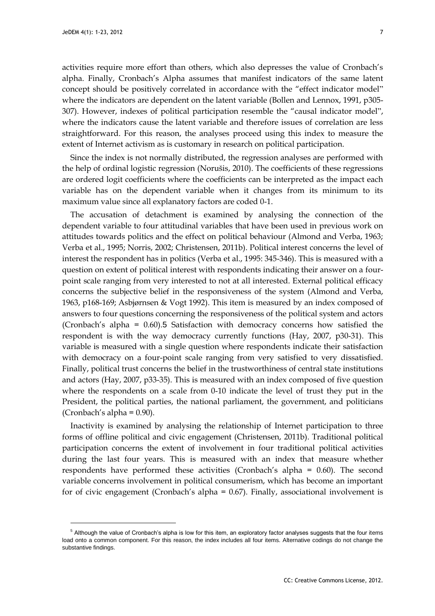l

activities require more effort than others, which also depresses the value of Cronbach's alpha. Finally, Cronbach's Alpha assumes that manifest indicators of the same latent concept should be positively correlated in accordance with the "effect indicator model" where the indicators are dependent on the latent variable (Bollen and Lennox, 1991, p305- 307). However, indexes of political participation resemble the "causal indicator model", where the indicators cause the latent variable and therefore issues of correlation are less straightforward. For this reason, the analyses proceed using this index to measure the extent of Internet activism as is customary in research on political participation.

Since the index is not normally distributed, the regression analyses are performed with the help of ordinal logistic regression (Norušis, 2010). The coefficients of these regressions are ordered logit coefficients where the coefficients can be interpreted as the impact each variable has on the dependent variable when it changes from its minimum to its maximum value since all explanatory factors are coded 0-1.

The accusation of detachment is examined by analysing the connection of the dependent variable to four attitudinal variables that have been used in previous work on attitudes towards politics and the effect on political behaviour (Almond and Verba, 1963; Verba et al., 1995; Norris, 2002; Christensen, 2011b). Political interest concerns the level of interest the respondent has in politics (Verba et al., 1995: 345-346). This is measured with a question on extent of political interest with respondents indicating their answer on a fourpoint scale ranging from very interested to not at all interested. External political efficacy concerns the subjective belief in the responsiveness of the system (Almond and Verba, 1963, p168-169; Asbjørnsen & Vogt 1992). This item is measured by an index composed of answers to four questions concerning the responsiveness of the political system and actors (Cronbach's alpha = 0.60).5 Satisfaction with democracy concerns how satisfied the respondent is with the way democracy currently functions (Hay, 2007, p30-31). This variable is measured with a single question where respondents indicate their satisfaction with democracy on a four-point scale ranging from very satisfied to very dissatisfied. Finally, political trust concerns the belief in the trustworthiness of central state institutions and actors (Hay, 2007, p33-35). This is measured with an index composed of five question where the respondents on a scale from 0-10 indicate the level of trust they put in the President, the political parties, the national parliament, the government, and politicians (Cronbach's alpha = 0.90).

Inactivity is examined by analysing the relationship of Internet participation to three forms of offline political and civic engagement (Christensen, 2011b). Traditional political participation concerns the extent of involvement in four traditional political activities during the last four years. This is measured with an index that measure whether respondents have performed these activities (Cronbach's alpha = 0.60). The second variable concerns involvement in political consumerism, which has become an important for of civic engagement (Cronbach's alpha = 0.67). Finally, associational involvement is

<sup>&</sup>lt;sup>5</sup> Although the value of Cronbach's alpha is low for this item, an exploratory factor analyses suggests that the four items load onto a common component. For this reason, the index includes all four items. Alternative codings do not change the substantive findings.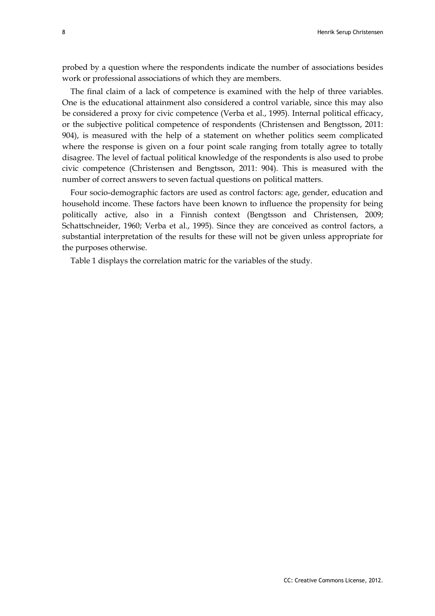probed by a question where the respondents indicate the number of associations besides work or professional associations of which they are members.

The final claim of a lack of competence is examined with the help of three variables. One is the educational attainment also considered a control variable, since this may also be considered a proxy for civic competence (Verba et al., 1995). Internal political efficacy, or the subjective political competence of respondents (Christensen and Bengtsson, 2011: 904), is measured with the help of a statement on whether politics seem complicated where the response is given on a four point scale ranging from totally agree to totally disagree. The level of factual political knowledge of the respondents is also used to probe civic competence (Christensen and Bengtsson, 2011: 904). This is measured with the number of correct answers to seven factual questions on political matters.

Four socio-demographic factors are used as control factors: age, gender, education and household income. These factors have been known to influence the propensity for being politically active, also in a Finnish context (Bengtsson and Christensen, 2009; Schattschneider, 1960; Verba et al., 1995). Since they are conceived as control factors, a substantial interpretation of the results for these will not be given unless appropriate for the purposes otherwise.

Table 1 displays the correlation matric for the variables of the study.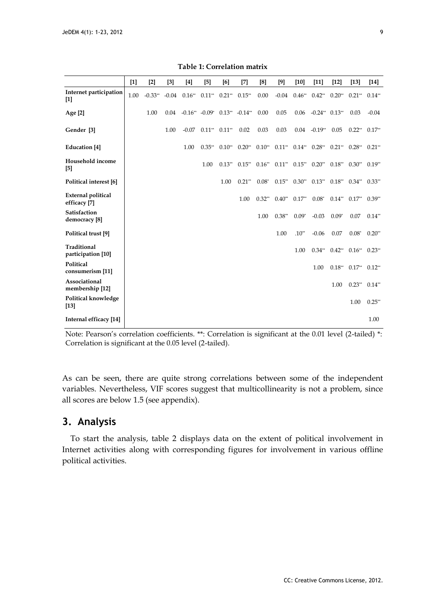|                                           | $[1] % \includegraphics[width=0.9\columnwidth]{figures/fig_1a} \caption{The figure shows the number of times on the right, and the number of times on the right, respectively. The left and right is the number of times on the right, respectively.} \label{fig:1}$ | $[2]$     | $[3]$   | [4]                                                      | $[5]$                               | [6]         | $^{[7]}$ | [8]      | [9]      | $[10]$   | $[11]$                                                                                          | $[12]$   | $[13]$                           | $[14]$   |
|-------------------------------------------|----------------------------------------------------------------------------------------------------------------------------------------------------------------------------------------------------------------------------------------------------------------------|-----------|---------|----------------------------------------------------------|-------------------------------------|-------------|----------|----------|----------|----------|-------------------------------------------------------------------------------------------------|----------|----------------------------------|----------|
| Internet participation<br>$[1]$           | 1.00                                                                                                                                                                                                                                                                 | $-0.33**$ | $-0.04$ |                                                          | $0.16^{**}$ $0.11^{**}$ $0.21^{**}$ |             | $0.15**$ | 0.00     | $-0.04$  | $0.46**$ | $0.42**$                                                                                        | $0.20**$ | $0.21**$                         | $0.14**$ |
| Age [2]                                   |                                                                                                                                                                                                                                                                      | 1.00      |         | $0.04$ $-0.16^{**}$ $-0.09^{*}$ $0.13^{**}$ $-0.14^{**}$ |                                     |             |          | 0.00     | 0.05     |          | $0.06$ -0.24* $0.13**$                                                                          |          | 0.03                             | $-0.04$  |
| Gender [3]                                |                                                                                                                                                                                                                                                                      |           | 1.00    |                                                          | $-0.07$ $0.11^{**}$ $0.11^{**}$     |             | 0.02     | 0.03     | 0.03     |          | $0.04 - 0.19$ <sup>**</sup>                                                                     | 0.05     | $0.22**$                         | $0.17**$ |
| <b>Education</b> [4]                      |                                                                                                                                                                                                                                                                      |           |         | 1.00                                                     | $0.35***$                           | $0.10^{**}$ |          |          |          |          | $0.20^{**}$ $0.10^{**}$ $0.11^{**}$ $0.14^{**}$ $0.28^{**}$ $0.21^{**}$ $0.28^{**}$ $0.21^{**}$ |          |                                  |          |
| Household income<br>[5]                   |                                                                                                                                                                                                                                                                      |           |         |                                                          | 1.00                                | $0.13**$    |          |          |          |          | $0.15^{**}$ $0.16^{**}$ $0.11^{**}$ $0.15^{**}$ $0.20^{**}$ $0.18^{**}$                         |          | $0.30**$                         | $0.19**$ |
| Political interest [6]                    |                                                                                                                                                                                                                                                                      |           |         |                                                          |                                     | 1.00        | $0.21**$ |          |          |          | $0.08^*$ $0.15^{**}$ $0.30^{**}$ $0.13^{**}$ $0.18^{**}$ $0.34^{**}$ $0.33^{**}$                |          |                                  |          |
| <b>External political</b><br>efficacy [7] |                                                                                                                                                                                                                                                                      |           |         |                                                          |                                     |             | 1.00     | $0.32**$ | $0.40**$ | $0.17**$ |                                                                                                 |          | $0.08^*$ $0.14^{**}$ $0.17^{**}$ | $0.39**$ |
| Satisfaction<br>democracy <sup>[8]</sup>  |                                                                                                                                                                                                                                                                      |           |         |                                                          |                                     |             |          | 1.00     | $0.38**$ | $0.09*$  | $-0.03$                                                                                         | $0.09*$  | 0.07                             | $0.14**$ |
| Political trust [9]                       |                                                                                                                                                                                                                                                                      |           |         |                                                          |                                     |             |          |          | 1.00     | $.10**$  | $-0.06$                                                                                         | 0.07     | $0.08*$                          | $0.20**$ |
| <b>Traditional</b><br>participation [10]  |                                                                                                                                                                                                                                                                      |           |         |                                                          |                                     |             |          |          |          | 1.00     | $0.34***$                                                                                       | $0.42**$ | $0.16^{**}$ 0.23**               |          |
| Political<br>consumerism [11]             |                                                                                                                                                                                                                                                                      |           |         |                                                          |                                     |             |          |          |          |          | 1.00                                                                                            | $0.18**$ | $0.17^{**}$ $0.12^{**}$          |          |
| Associational<br>membership [12]          |                                                                                                                                                                                                                                                                      |           |         |                                                          |                                     |             |          |          |          |          |                                                                                                 | 1.00     | $0.23^{**}$ $0.14^{**}$          |          |
| Political knowledge<br>$[13]$             |                                                                                                                                                                                                                                                                      |           |         |                                                          |                                     |             |          |          |          |          |                                                                                                 |          | 1.00                             | $0.25**$ |
| Internal efficacy [14]                    |                                                                                                                                                                                                                                                                      |           |         |                                                          |                                     |             |          |          |          |          |                                                                                                 |          |                                  | 1.00     |

**Table 1: Correlation matrix**

Note: Pearson's correlation coefficients. \*\*: Correlation is significant at the 0.01 level (2-tailed) \*: Correlation is significant at the 0.05 level (2-tailed).

As can be seen, there are quite strong correlations between some of the independent variables. Nevertheless, VIF scores suggest that multicollinearity is not a problem, since all scores are below 1.5 (see appendix).

## **3. Analysis**

To start the analysis, table 2 displays data on the extent of political involvement in Internet activities along with corresponding figures for involvement in various offline political activities.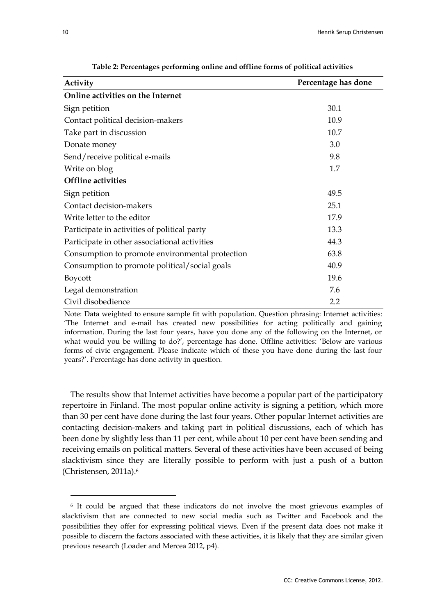| Activity                                        | Percentage has done |
|-------------------------------------------------|---------------------|
| Online activities on the Internet               |                     |
| Sign petition                                   | 30.1                |
| Contact political decision-makers               | 10.9                |
| Take part in discussion                         | 10.7                |
| Donate money                                    | 3.0                 |
| Send/receive political e-mails                  | 9.8                 |
| Write on blog                                   | 1.7                 |
| <b>Offline activities</b>                       |                     |
| Sign petition                                   | 49.5                |
| Contact decision-makers                         | 25.1                |
| Write letter to the editor                      | 17.9                |
| Participate in activities of political party    | 13.3                |
| Participate in other associational activities   | 44.3                |
| Consumption to promote environmental protection | 63.8                |
| Consumption to promote political/social goals   | 40.9                |
| Boycott                                         | 19.6                |
| Legal demonstration                             | 7.6                 |
| Civil disobedience                              | 2.2                 |

**Table 2: Percentages performing online and offline forms of political activities**

Note: Data weighted to ensure sample fit with population. Question phrasing: Internet activities: 'The Internet and e-mail has created new possibilities for acting politically and gaining information. During the last four years, have you done any of the following on the Internet, or what would you be willing to do?', percentage has done. Offline activities: 'Below are various forms of civic engagement. Please indicate which of these you have done during the last four years?'. Percentage has done activity in question.

The results show that Internet activities have become a popular part of the participatory repertoire in Finland. The most popular online activity is signing a petition, which more than 30 per cent have done during the last four years. Other popular Internet activities are contacting decision-makers and taking part in political discussions, each of which has been done by slightly less than 11 per cent, while about 10 per cent have been sending and receiving emails on political matters. Several of these activities have been accused of being slacktivism since they are literally possible to perform with just a push of a button (Christensen, 2011a).<sup>6</sup>

l

<sup>6</sup> It could be argued that these indicators do not involve the most grievous examples of slacktivism that are connected to new social media such as Twitter and Facebook and the possibilities they offer for expressing political views. Even if the present data does not make it possible to discern the factors associated with these activities, it is likely that they are similar given previous research (Loader and Mercea 2012, p4).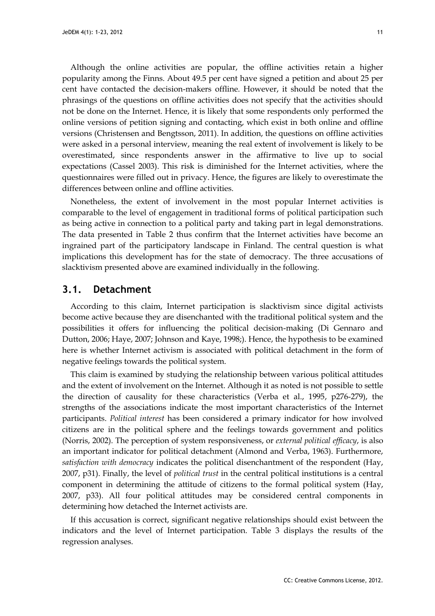Although the online activities are popular, the offline activities retain a higher popularity among the Finns. About 49.5 per cent have signed a petition and about 25 per cent have contacted the decision-makers offline. However, it should be noted that the phrasings of the questions on offline activities does not specify that the activities should not be done on the Internet. Hence, it is likely that some respondents only performed the online versions of petition signing and contacting, which exist in both online and offline versions (Christensen and Bengtsson, 2011). In addition, the questions on offline activities were asked in a personal interview, meaning the real extent of involvement is likely to be overestimated, since respondents answer in the affirmative to live up to social expectations (Cassel 2003). This risk is diminished for the Internet activities, where the questionnaires were filled out in privacy. Hence, the figures are likely to overestimate the differences between online and offline activities.

Nonetheless, the extent of involvement in the most popular Internet activities is comparable to the level of engagement in traditional forms of political participation such as being active in connection to a political party and taking part in legal demonstrations. The data presented in Table 2 thus confirm that the Internet activities have become an ingrained part of the participatory landscape in Finland. The central question is what implications this development has for the state of democracy. The three accusations of slacktivism presented above are examined individually in the following.

#### **3.1. Detachment**

According to this claim, Internet participation is slacktivism since digital activists become active because they are disenchanted with the traditional political system and the possibilities it offers for influencing the political decision-making (Di Gennaro and Dutton, 2006; Haye, 2007; Johnson and Kaye, 1998;). Hence, the hypothesis to be examined here is whether Internet activism is associated with political detachment in the form of negative feelings towards the political system.

This claim is examined by studying the relationship between various political attitudes and the extent of involvement on the Internet. Although it as noted is not possible to settle the direction of causality for these characteristics (Verba et al., 1995, p276-279), the strengths of the associations indicate the most important characteristics of the Internet participants. *Political interest* has been considered a primary indicator for how involved citizens are in the political sphere and the feelings towards government and politics (Norris, 2002). The perception of system responsiveness, or *external political efficacy*, is also an important indicator for political detachment (Almond and Verba, 1963). Furthermore, *satisfaction with democracy* indicates the political disenchantment of the respondent (Hay, 2007, p31). Finally, the level of *political trust* in the central political institutions is a central component in determining the attitude of citizens to the formal political system (Hay, 2007, p33). All four political attitudes may be considered central components in determining how detached the Internet activists are.

If this accusation is correct, significant negative relationships should exist between the indicators and the level of Internet participation. Table 3 displays the results of the regression analyses.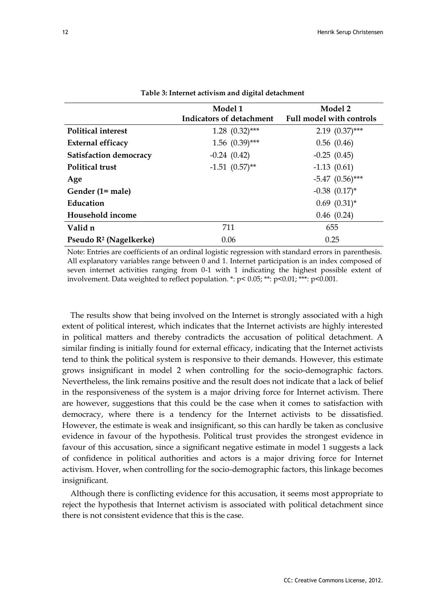|                                    | Model 1<br>Indicators of detachment | Model 2<br>Full model with controls |
|------------------------------------|-------------------------------------|-------------------------------------|
| <b>Political interest</b>          | $1.28$ $(0.32)$ ***                 | $2.19$ $(0.37)$ ***                 |
| <b>External efficacy</b>           | $1.56$ $(0.39)$ ***                 | 0.56(0.46)                          |
| <b>Satisfaction democracy</b>      | $-0.24(0.42)$                       | $-0.25(0.45)$                       |
| <b>Political trust</b>             | $-1.51$ $(0.57)$ **                 | $-1.13(0.61)$                       |
| Age                                |                                     | $-5.47$ $(0.56)$ ***                |
| Gender (1= male)                   |                                     | $-0.38$ $(0.17)^*$                  |
| Education                          |                                     | $0.69$ $(0.31)^*$                   |
| Household income                   |                                     | 0.46(0.24)                          |
| Valid n                            | 711                                 | 655                                 |
| Pseudo R <sup>2</sup> (Nagelkerke) | 0.06                                | 0.25                                |

#### **Table 3: Internet activism and digital detachment**

Note: Entries are coefficients of an ordinal logistic regression with standard errors in parenthesis. All explanatory variables range between 0 and 1. Internet participation is an index composed of seven internet activities ranging from 0-1 with 1 indicating the highest possible extent of involvement. Data weighted to reflect population. \*: p< 0.05; \*\*: p<0.01; \*\*\*: p<0.001.

The results show that being involved on the Internet is strongly associated with a high extent of political interest, which indicates that the Internet activists are highly interested in political matters and thereby contradicts the accusation of political detachment. A similar finding is initially found for external efficacy, indicating that the Internet activists tend to think the political system is responsive to their demands. However, this estimate grows insignificant in model 2 when controlling for the socio-demographic factors. Nevertheless, the link remains positive and the result does not indicate that a lack of belief in the responsiveness of the system is a major driving force for Internet activism. There are however, suggestions that this could be the case when it comes to satisfaction with democracy, where there is a tendency for the Internet activists to be dissatisfied. However, the estimate is weak and insignificant, so this can hardly be taken as conclusive evidence in favour of the hypothesis. Political trust provides the strongest evidence in favour of this accusation, since a significant negative estimate in model 1 suggests a lack of confidence in political authorities and actors is a major driving force for Internet activism. Hover, when controlling for the socio-demographic factors, this linkage becomes insignificant.

Although there is conflicting evidence for this accusation, it seems most appropriate to reject the hypothesis that Internet activism is associated with political detachment since there is not consistent evidence that this is the case.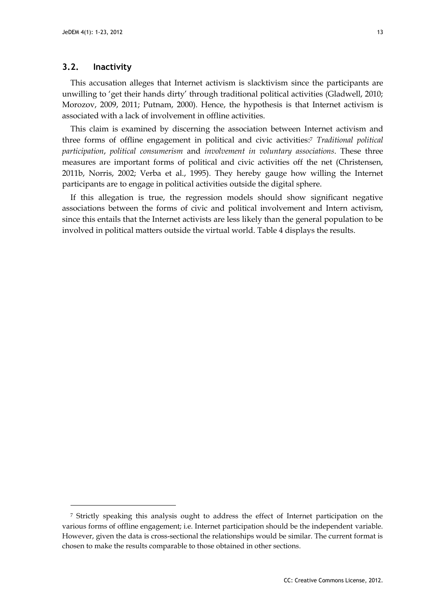#### **3.2. Inactivity**

l

This accusation alleges that Internet activism is slacktivism since the participants are unwilling to 'get their hands dirty' through traditional political activities (Gladwell, 2010; Morozov, 2009, 2011; Putnam, 2000). Hence, the hypothesis is that Internet activism is associated with a lack of involvement in offline activities.

This claim is examined by discerning the association between Internet activism and three forms of offline engagement in political and civic activities: <sup>7</sup> *Traditional political participation*, *political consumerism* and *involvement in voluntary associations*. These three measures are important forms of political and civic activities off the net (Christensen, 2011b, Norris, 2002; Verba et al., 1995). They hereby gauge how willing the Internet participants are to engage in political activities outside the digital sphere.

If this allegation is true, the regression models should show significant negative associations between the forms of civic and political involvement and Intern activism, since this entails that the Internet activists are less likely than the general population to be involved in political matters outside the virtual world. Table 4 displays the results.

<sup>&</sup>lt;sup>7</sup> Strictly speaking this analysis ought to address the effect of Internet participation on the various forms of offline engagement; i.e. Internet participation should be the independent variable. However, given the data is cross-sectional the relationships would be similar. The current format is chosen to make the results comparable to those obtained in other sections.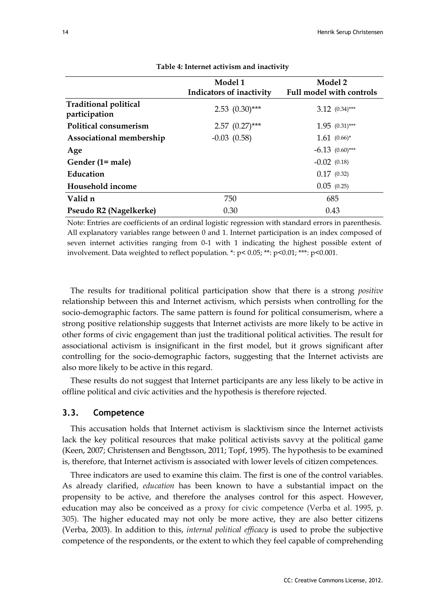|                                               | Model 1<br>Indicators of inactivity | Model 2<br><b>Full model with controls</b> |
|-----------------------------------------------|-------------------------------------|--------------------------------------------|
| <b>Traditional political</b><br>participation | $2.53$ $(0.30)$ ***                 | $3.12 (0.34)***$                           |
| Political consumerism                         | $2.57$ $(0.27)$ ***                 | $1.95$ $(0.31)***$                         |
| Associational membership                      | $-0.03$ $(0.58)$                    | $1.61 (0.66)^*$                            |
| Age                                           |                                     | $-6.13$ $(0.60)$ ***                       |
| Gender (1= male)                              |                                     | $-0.02$ (0.18)                             |
| Education                                     |                                     | 0.17(0.32)                                 |
| Household income                              |                                     | 0.05(0.25)                                 |
| Valid n                                       | 750                                 | 685                                        |
| Pseudo R2 (Nagelkerke)                        | 0.30                                | 0.43                                       |

**Table 4: Internet activism and inactivity**

Note: Entries are coefficients of an ordinal logistic regression with standard errors in parenthesis. All explanatory variables range between 0 and 1. Internet participation is an index composed of seven internet activities ranging from 0-1 with 1 indicating the highest possible extent of involvement. Data weighted to reflect population. \*: p< 0.05; \*\*: p<0.01; \*\*\*: p<0.001.

The results for traditional political participation show that there is a strong *positive* relationship between this and Internet activism, which persists when controlling for the socio-demographic factors. The same pattern is found for political consumerism, where a strong positive relationship suggests that Internet activists are more likely to be active in other forms of civic engagement than just the traditional political activities. The result for associational activism is insignificant in the first model, but it grows significant after controlling for the socio-demographic factors, suggesting that the Internet activists are also more likely to be active in this regard.

These results do not suggest that Internet participants are any less likely to be active in offline political and civic activities and the hypothesis is therefore rejected.

#### **3.3. Competence**

This accusation holds that Internet activism is slacktivism since the Internet activists lack the key political resources that make political activists savvy at the political game (Keen, 2007; Christensen and Bengtsson, 2011; Topf, 1995). The hypothesis to be examined is, therefore, that Internet activism is associated with lower levels of citizen competences.

Three indicators are used to examine this claim. The first is one of the control variables. As already clarified, *education* has been known to have a substantial impact on the propensity to be active, and therefore the analyses control for this aspect. However, education may also be conceived as a proxy for civic competence (Verba et al. 1995, p. 305). The higher educated may not only be more active, they are also better citizens (Verba, 2003). In addition to this, *internal political efficacy* is used to probe the subjective competence of the respondents, or the extent to which they feel capable of comprehending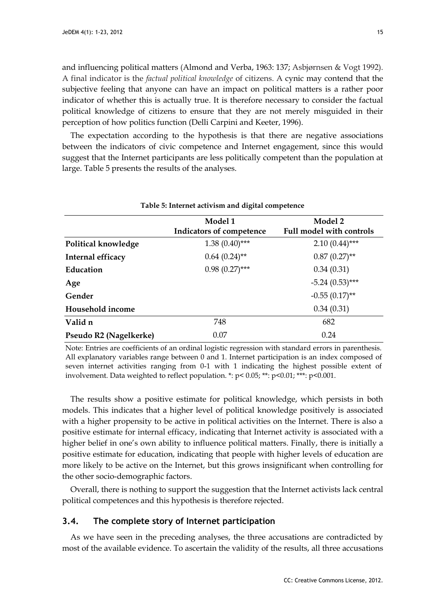and influencing political matters (Almond and Verba, 1963: 137; Asbjørnsen & Vogt 1992). A final indicator is the *factual political knowledge* of citizens. A cynic may contend that the subjective feeling that anyone can have an impact on political matters is a rather poor indicator of whether this is actually true. It is therefore necessary to consider the factual political knowledge of citizens to ensure that they are not merely misguided in their perception of how politics function (Delli Carpini and Keeter, 1996).

The expectation according to the hypothesis is that there are negative associations between the indicators of civic competence and Internet engagement, since this would suggest that the Internet participants are less politically competent than the population at large. Table 5 presents the results of the analyses.

| Table 5: Internet activism and digital competence |                                     |                                            |  |  |  |  |  |  |
|---------------------------------------------------|-------------------------------------|--------------------------------------------|--|--|--|--|--|--|
|                                                   | Model 1<br>Indicators of competence | Model 2<br><b>Full model with controls</b> |  |  |  |  |  |  |
| Political knowledge                               | $1.38(0.40)$ ***                    | $2.10(0.44)$ ***                           |  |  |  |  |  |  |
| Internal efficacy                                 | $0.64~(0.24)$ **                    | $0.87(0.27)$ **                            |  |  |  |  |  |  |
| Education                                         | $0.98(0.27)$ ***                    | 0.34(0.31)                                 |  |  |  |  |  |  |
| Age                                               |                                     | $-5.24(0.53)$ ***                          |  |  |  |  |  |  |
| Gender                                            |                                     | $-0.55(0.17)$ **                           |  |  |  |  |  |  |
| Household income                                  |                                     | 0.34(0.31)                                 |  |  |  |  |  |  |
| Valid n                                           | 748                                 | 682                                        |  |  |  |  |  |  |
| Pseudo R2 (Nagelkerke)                            | 0.07                                | 0.24                                       |  |  |  |  |  |  |

Note: Entries are coefficients of an ordinal logistic regression with standard errors in parenthesis. All explanatory variables range between 0 and 1. Internet participation is an index composed of seven internet activities ranging from 0-1 with 1 indicating the highest possible extent of involvement. Data weighted to reflect population. \*:  $p < 0.05$ ; \*\*:  $p < 0.01$ ; \*\*\*:  $p < 0.001$ .

The results show a positive estimate for political knowledge, which persists in both models. This indicates that a higher level of political knowledge positively is associated with a higher propensity to be active in political activities on the Internet. There is also a positive estimate for internal efficacy, indicating that Internet activity is associated with a higher belief in one's own ability to influence political matters. Finally, there is initially a positive estimate for education, indicating that people with higher levels of education are more likely to be active on the Internet, but this grows insignificant when controlling for the other socio-demographic factors.

Overall, there is nothing to support the suggestion that the Internet activists lack central political competences and this hypothesis is therefore rejected.

#### **3.4. The complete story of Internet participation**

As we have seen in the preceding analyses, the three accusations are contradicted by most of the available evidence. To ascertain the validity of the results, all three accusations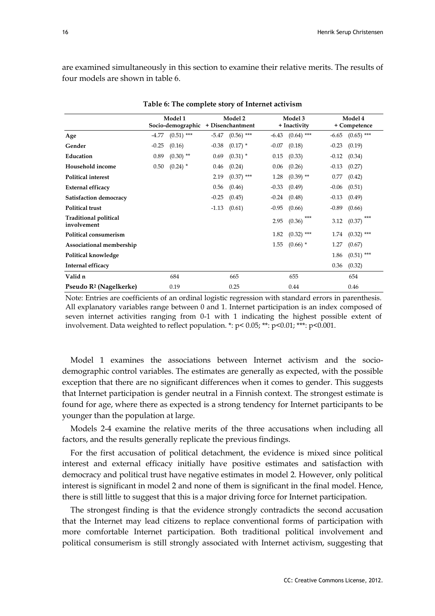are examined simultaneously in this section to examine their relative merits. The results of four models are shown in table 6.

|                                             | Model 1<br>Socio-demographic |              | Model 2<br>+ Disenchantment |              |         | Model 3<br>+ Inactivity |         | Model 4<br>+ Competence |  |  |
|---------------------------------------------|------------------------------|--------------|-----------------------------|--------------|---------|-------------------------|---------|-------------------------|--|--|
| Age                                         | -4.77                        | $(0.51)$ *** | -5.47                       | $(0.56)$ *** | -6.43   | $(0.64)$ ***            | $-6.65$ | $(0.65)$ ***            |  |  |
| Gender                                      | $-0.25$                      | (0.16)       | $-0.38$                     | $(0.17)$ *   | $-0.07$ | (0.18)                  | $-0.23$ | (0.19)                  |  |  |
| Education                                   | 0.89                         | $(0.30)$ **  | 0.69                        | $(0.31)$ *   | 0.15    | (0.33)                  | $-0.12$ | (0.34)                  |  |  |
| Household income                            | 0.50                         | $(0.24)$ *   | 0.46                        | (0.24)       | 0.06    | (0.26)                  | $-0.13$ | (0.27)                  |  |  |
| <b>Political interest</b>                   |                              |              | 2.19                        | $(0.37)$ *** | 1.28    | $(0.39)$ **             | 0.77    | (0.42)                  |  |  |
| External efficacy                           |                              |              | 0.56                        | (0.46)       | $-0.33$ | (0.49)                  | $-0.06$ | (0.51)                  |  |  |
| Satisfaction democracy                      |                              |              | $-0.25$                     | (0.45)       | $-0.24$ | (0.48)                  | $-0.13$ | (0.49)                  |  |  |
| <b>Political trust</b>                      |                              |              | $-1.13$                     | (0.61)       | $-0.95$ | (0.66)                  | $-0.89$ | (0.66)                  |  |  |
| <b>Traditional political</b><br>involvement |                              |              |                             |              | 2.95    | $***$<br>(0.36)         | 3.12    | ***<br>(0.37)           |  |  |
| Political consumerism                       |                              |              |                             |              | 1.82    | $(0.32)$ ***            | 1.74    | $(0.32)$ ***            |  |  |
| Associational membership                    |                              |              |                             |              | 1.55    | $(0.66)$ *              | 1.27    | (0.67)                  |  |  |
| Political knowledge                         |                              |              |                             |              |         |                         | 1.86    | $(0.51)$ ***            |  |  |
| Internal efficacy                           |                              |              |                             |              |         |                         | 0.36    | (0.32)                  |  |  |
| Valid n                                     |                              | 684          |                             | 665          |         | 655                     |         | 654                     |  |  |
| Pseudo R <sup>2</sup> (Nagelkerke)          |                              | 0.19         |                             | 0.25         |         | 0.44                    |         | 0.46                    |  |  |

**Table 6: The complete story of Internet activism**

Note: Entries are coefficients of an ordinal logistic regression with standard errors in parenthesis. All explanatory variables range between 0 and 1. Internet participation is an index composed of seven internet activities ranging from 0-1 with 1 indicating the highest possible extent of involvement. Data weighted to reflect population. \*: p< 0.05; \*\*: p<0.01; \*\*\*: p<0.001.

Model 1 examines the associations between Internet activism and the sociodemographic control variables. The estimates are generally as expected, with the possible exception that there are no significant differences when it comes to gender. This suggests that Internet participation is gender neutral in a Finnish context. The strongest estimate is found for age, where there as expected is a strong tendency for Internet participants to be younger than the population at large.

Models 2-4 examine the relative merits of the three accusations when including all factors, and the results generally replicate the previous findings.

For the first accusation of political detachment, the evidence is mixed since political interest and external efficacy initially have positive estimates and satisfaction with democracy and political trust have negative estimates in model 2. However, only political interest is significant in model 2 and none of them is significant in the final model. Hence, there is still little to suggest that this is a major driving force for Internet participation.

The strongest finding is that the evidence strongly contradicts the second accusation that the Internet may lead citizens to replace conventional forms of participation with more comfortable Internet participation. Both traditional political involvement and political consumerism is still strongly associated with Internet activism, suggesting that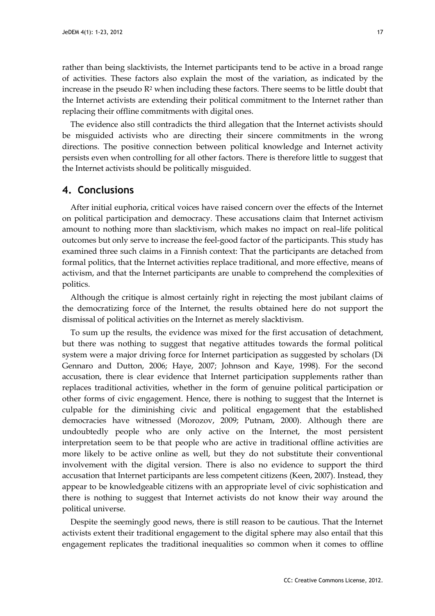rather than being slacktivists, the Internet participants tend to be active in a broad range of activities. These factors also explain the most of the variation, as indicated by the increase in the pseudo  $\mathbb{R}^2$  when including these factors. There seems to be little doubt that the Internet activists are extending their political commitment to the Internet rather than replacing their offline commitments with digital ones.

The evidence also still contradicts the third allegation that the Internet activists should be misguided activists who are directing their sincere commitments in the wrong directions. The positive connection between political knowledge and Internet activity persists even when controlling for all other factors. There is therefore little to suggest that the Internet activists should be politically misguided.

## **4. Conclusions**

After initial euphoria, critical voices have raised concern over the effects of the Internet on political participation and democracy. These accusations claim that Internet activism amount to nothing more than slacktivism, which makes no impact on real–life political outcomes but only serve to increase the feel-good factor of the participants. This study has examined three such claims in a Finnish context: That the participants are detached from formal politics, that the Internet activities replace traditional, and more effective, means of activism, and that the Internet participants are unable to comprehend the complexities of politics.

Although the critique is almost certainly right in rejecting the most jubilant claims of the democratizing force of the Internet, the results obtained here do not support the dismissal of political activities on the Internet as merely slacktivism.

To sum up the results, the evidence was mixed for the first accusation of detachment, but there was nothing to suggest that negative attitudes towards the formal political system were a major driving force for Internet participation as suggested by scholars (Di Gennaro and Dutton, 2006; Haye, 2007; Johnson and Kaye, 1998). For the second accusation, there is clear evidence that Internet participation supplements rather than replaces traditional activities, whether in the form of genuine political participation or other forms of civic engagement. Hence, there is nothing to suggest that the Internet is culpable for the diminishing civic and political engagement that the established democracies have witnessed (Morozov, 2009; Putnam, 2000). Although there are undoubtedly people who are only active on the Internet, the most persistent interpretation seem to be that people who are active in traditional offline activities are more likely to be active online as well, but they do not substitute their conventional involvement with the digital version. There is also no evidence to support the third accusation that Internet participants are less competent citizens (Keen, 2007). Instead, they appear to be knowledgeable citizens with an appropriate level of civic sophistication and there is nothing to suggest that Internet activists do not know their way around the political universe.

Despite the seemingly good news, there is still reason to be cautious. That the Internet activists extent their traditional engagement to the digital sphere may also entail that this engagement replicates the traditional inequalities so common when it comes to offline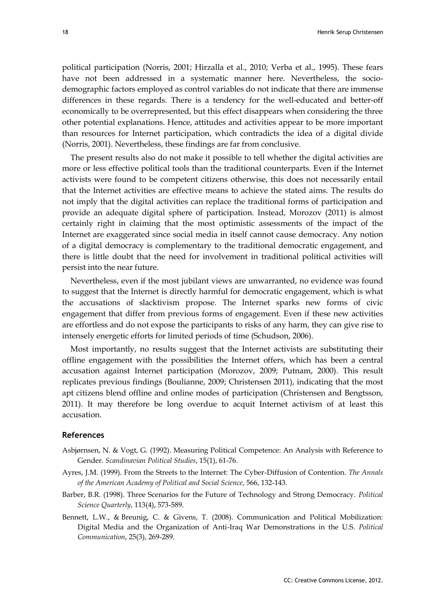political participation (Norris, 2001; Hirzalla et al., 2010; Verba et al., 1995). These fears have not been addressed in a systematic manner here. Nevertheless, the sociodemographic factors employed as control variables do not indicate that there are immense differences in these regards. There is a tendency for the well-educated and better-off economically to be overrepresented, but this effect disappears when considering the three other potential explanations. Hence, attitudes and activities appear to be more important than resources for Internet participation, which contradicts the idea of a digital divide (Norris, 2001). Nevertheless, these findings are far from conclusive.

The present results also do not make it possible to tell whether the digital activities are more or less effective political tools than the traditional counterparts. Even if the Internet activists were found to be competent citizens otherwise, this does not necessarily entail that the Internet activities are effective means to achieve the stated aims. The results do not imply that the digital activities can replace the traditional forms of participation and provide an adequate digital sphere of participation. Instead, Morozov (2011) is almost certainly right in claiming that the most optimistic assessments of the impact of the Internet are exaggerated since social media in itself cannot cause democracy. Any notion of a digital democracy is complementary to the traditional democratic engagement, and there is little doubt that the need for involvement in traditional political activities will persist into the near future.

Nevertheless, even if the most jubilant views are unwarranted, no evidence was found to suggest that the Internet is directly harmful for democratic engagement, which is what the accusations of slacktivism propose. The Internet sparks new forms of civic engagement that differ from previous forms of engagement. Even if these new activities are effortless and do not expose the participants to risks of any harm, they can give rise to intensely energetic efforts for limited periods of time (Schudson, 2006).

Most importantly, no results suggest that the Internet activists are substituting their offline engagement with the possibilities the Internet offers, which has been a central accusation against Internet participation (Morozov, 2009; Putnam, 2000). This result replicates previous findings (Boulianne, 2009; Christensen 2011), indicating that the most apt citizens blend offline and online modes of participation (Christensen and Bengtsson, 2011). It may therefore be long overdue to acquit Internet activism of at least this accusation.

#### **References**

- Asbjørnsen, N. & Vogt, G. (1992). Measuring Political Competence: An Analysis with Reference to Gender. *Scandinavian Political Studies*, 15(1), 61-76.
- Ayres, J.M. (1999). From the Streets to the Internet: The Cyber-Diffusion of Contention. *The Annals of the American Academy of Political and Social Science*, 566, 132-143.
- Barber, B.R. (1998). Three Scenarios for the Future of Technology and Strong Democracy. *Political Science Quarterly*, 113(4), 573-589.
- Bennett, L.W., & Breunig, C. & Givens, T. (2008). Communication and Political Mobilization: Digital Media and the Organization of Anti-Iraq War Demonstrations in the U.S. *Political Communication*, 25(3), 269-289.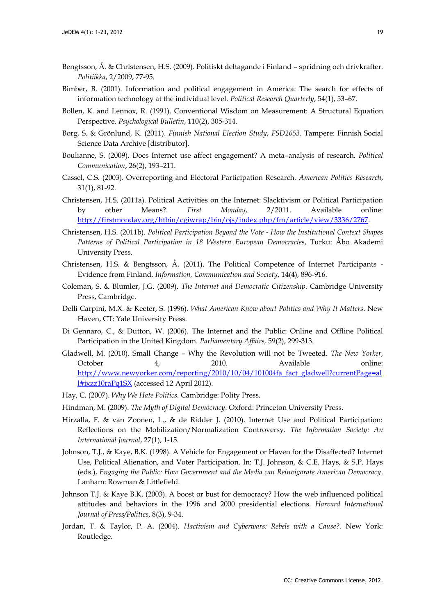- Bengtsson, Å. & Christensen, H.S. (2009). Politiskt deltagande i Finland spridning och drivkrafter. *Politiikka*, 2/2009, 77-95.
- Bimber, B. (2001). Information and political engagement in America: The search for effects of information technology at the individual level. *Political Research Quarterly*, 54(1), 53–67.
- Bollen, K. and Lennox, R. (1991). Conventional Wisdom on Measurement: A Structural Equation Perspective. *Psychological Bulletin*, 110(2), 305-314.
- Borg, S. & Grönlund, K. (2011). *Finnish National Election Study*, *FSD2653*. Tampere: Finnish Social Science Data Archive [distributor].
- Boulianne, S. (2009). Does Internet use affect engagement? A meta–analysis of research. *Political Communication*, 26(2), 193–211.
- Cassel, C.S. (2003). Overreporting and Electoral Participation Research. *American Politics Research*, 31(1), 81-92.
- Christensen, H.S. (2011a). Political Activities on the Internet: Slacktivism or Political Participation by other Means?. *First Monday*, 2/2011. Available online: [http://firstmonday.org/htbin/cgiwrap/bin/ojs/index.php/fm/article/view/3336/2767.](http://firstmonday.org/htbin/cgiwrap/bin/ojs/index.php/fm/article/view/3336/2767)
- Christensen, H.S. (2011b). *Political Participation Beyond the Vote - How the Institutional Context Shapes Patterns of Political Participation in 18 Western European Democracies*, Turku: Åbo Akademi University Press.
- Christensen, H.S. & Bengtsson, Å. (2011). The Political Competence of Internet Participants Evidence from Finland. *Information, Communication and Society*, 14(4), 896-916.
- Coleman, S. & Blumler, J.G. (2009). *The Internet and Democratic Citizenship*. Cambridge University Press, Cambridge.
- Delli Carpini, M.X. & Keeter, S. (1996). *What American Know about Politics and Why It Matters*. New Haven, CT: Yale University Press.
- Di Gennaro, C., & Dutton, W. (2006). The Internet and the Public: Online and Offline Political Participation in the United Kingdom. *Parliamentary Affairs,* 59(2), 299-313.
- Gladwell, M. (2010). Small Change Why the Revolution will not be Tweeted. *The New Yorker*, October 4, 2010. Available online: [http://www.newyorker.com/reporting/2010/10/04/101004fa\\_fact\\_gladwell?currentPage=al](http://www.newyorker.com/reporting/2010/10/04/101004fa_fact_gladwell?currentPage=all#ixzz10raPq1SX) [l#ixzz10raPq1SX](http://www.newyorker.com/reporting/2010/10/04/101004fa_fact_gladwell?currentPage=all#ixzz10raPq1SX) (accessed 12 April 2012).
- Hay, C. (2007). *Why We Hate Politics.* Cambridge: Polity Press.
- Hindman, M. (2009). *The Myth of Digital Democracy*. Oxford: Princeton University Press.
- Hirzalla, F. & van Zoonen, L., & de Ridder J. (2010). Internet Use and Political Participation: Reflections on the Mobilization/Normalization Controversy. *The Information Society: An International Journal*, 27(1), 1-15.
- Johnson, T.J., & Kaye, B.K. (1998). A Vehicle for Engagement or Haven for the Disaffected? Internet Use, Political Alienation, and Voter Participation. In: T.J. Johnson, & C.E. Hays, & S.P. Hays (eds.), *Engaging the Public: How Government and the Media can Reinvigorate American Democracy*. Lanham: Rowman & Littlefield.
- Johnson T.J. & Kaye B.K. (2003). A boost or bust for democracy? How the web influenced political attitudes and behaviors in the 1996 and 2000 presidential elections. *Harvard International Journal of Press/Politics*, 8(3), 9-34.
- Jordan, T. & Taylor, P. A. (2004). *Hactivism and Cyberwars: Rebels with a Cause?*. New York: Routledge.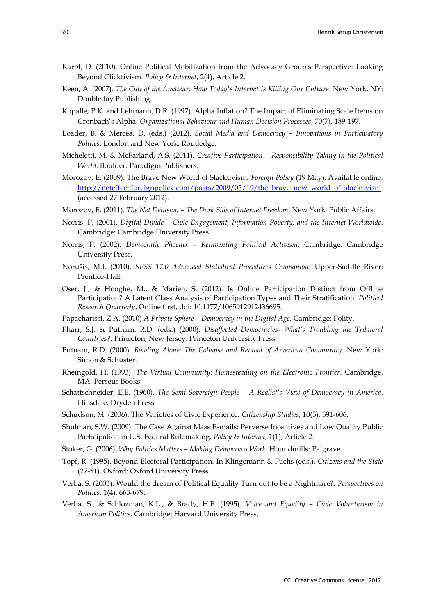- Karpf, D. (2010). Online Political Mobilization from the Advocacy Group's Perspective: Looking Beyond Clicktivism. *Policy & Internet*, 2(4), Article 2.
- Keen, A. (2007). *The Cult of the Amateur: How Today's Internet Is Killing Our Culture*. New York, NY: Doubleday Publishing.
- Kopalle, P.K. and Lehmann, D.R. (1997). Alpha Inflation? The Impact of Eliminating Scale Items on Cronbach's Alpha. *Organizational Behaviour and Human Decision Processes*, 70(7), 189-197.
- Loader, B. & Mercea, D. (eds.) (2012). *Social Media and Democracy – Innovations in Participatory Politics*. London and New York: Routledge.
- Micheletti, M. & McFarland, A.S. (2011). *Creative Participation – Responsibility-Taking in the Political World*. Boulder: Paradigm Publishers.
- Morozov, E. (2009). The Brave New World of Slacktivism. *Foreign Policy* (19 May), Available online: [http://neteffect.foreignpolicy.com/posts/2009/05/19/the\\_brave\\_new\\_world\\_of\\_slacktivism](http://neteffect.foreignpolicy.com/posts/2009/05/19/the_brave_new_world_of_slacktivism) (accessed 27 February 2012).
- Morozov, E. (2011). *The Net Delusion – The Dark Side of Internet Freedom*. New York: Public Affairs.
- Norris, P. (2001). *Digital Divide – Civic Engagement, Information Poverty, and the Internet Worldwide*. Cambridge: Cambridge University Press.
- Norris, P. (2002). *Democratic Phoenix – Reinventing Political Activism*. Cambridge: Cambridge University Press.
- Norušis, M.J. (2010). *SPSS 17.0 Advanced Statistical Procedures Companion*. Upper-Saddle River: Prentice-Hall.
- Oser, J., & Hooghe, M., & Marien, S. (2012). Is Online Participation Distinct from Offline Participation? A Latent Class Analysis of Participation Types and Their Stratification. *Political Research Quarterly*, Online first, doi: 10.1177/1065912912436695.
- Papacharissi, Z.A. (2010) *A Private Sphere – Democracy in the Digital Age*. Cambridge: Polity.
- Pharr, S.J. & Putnam. R.D. (eds.) (2000). *Disaffected Democracies- What's Troubling the Trilateral Countries?*. Princeton, New Jersey: Princeton University Press.
- Putnam, R.D. (2000). *Bowling Alone: The Collapse and Revival of American Community*. New York: Simon & Schuster.
- Rheingold, H. (1993). *The Virtual Community: Homesteading on the Electronic Frontier*. Cambridge, MA: Perseus Books.
- Schattschneider, E.E. (1960). *The Semi-Sovereign People – A Realist's View of Democracy in America*. Hinsdale: Dryden Press.
- Schudson, M. (2006). The Varieties of Civic Experience. *Citizenship Studies*, 10(5), 591-606.
- Shulman, S.W. (2009). The Case Against Mass E-mails: Perverse Incentives and Low Quality Public Participation in U.S. Federal Rulemaking. *Policy & Internet*, 1(1), Article 2.
- Stoker, G. (2006). *Why Politics Matters – Making Democracy Work*. Houndmills: Palgrave.
- Topf, R. (1995). Beyond Electoral Participation. In Klingemann & Fuchs (eds.). *Citizens and the State* (27-51), Oxford: Oxford University Press.
- Verba, S. (2003). Would the dream of Political Equality Turn out to be a Nightmare?. *Perspectives on Politics*, 1(4), 663-679.
- Verba, S., & Schlozman, K.L., & Brady, H.E. (1995). *Voice and Equality – Civic Voluntarism in American Politics*. Cambridge: Harvard University Press.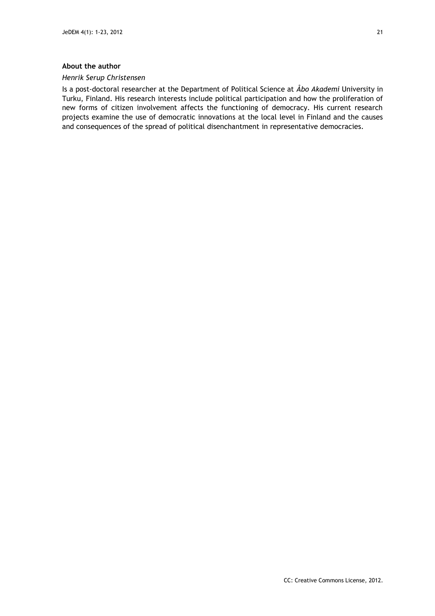#### **About the author**

#### *Henrik Serup Christensen*

Is a post-doctoral researcher at the Department of Political Science at *Åbo Akademi* University in Turku, Finland. His research interests include political participation and how the proliferation of new forms of citizen involvement affects the functioning of democracy. His current research projects examine the use of democratic innovations at the local level in Finland and the causes and consequences of the spread of political disenchantment in representative democracies.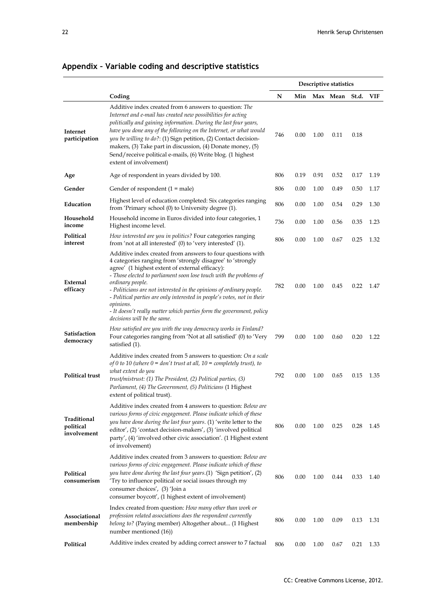|                                         |                                                                                                                                                                                                                                                                                                                                                                                                                                                                                                                                              | Descriptive statistics |      |      |                |      |      |
|-----------------------------------------|----------------------------------------------------------------------------------------------------------------------------------------------------------------------------------------------------------------------------------------------------------------------------------------------------------------------------------------------------------------------------------------------------------------------------------------------------------------------------------------------------------------------------------------------|------------------------|------|------|----------------|------|------|
|                                         | Coding                                                                                                                                                                                                                                                                                                                                                                                                                                                                                                                                       | N                      | Min  |      | Max Mean St.d. |      | VIF  |
| Internet<br>participation               | Additive index created from 6 answers to question: The<br>Internet and e-mail has created new possibilities for acting<br>politically and gaining information. During the last four years,<br>have you done any of the following on the Internet, or what would<br>you be willing to do?: (1) Sign petition, (2) Contact decision-<br>makers, (3) Take part in discussion, (4) Donate money, (5)<br>Send/receive political e-mails, (6) Write blog. (1 highest<br>extent of involvement)                                                     | 746                    | 0.00 | 1.00 | 0.11           | 0.18 |      |
| Age                                     | Age of respondent in years divided by 100.                                                                                                                                                                                                                                                                                                                                                                                                                                                                                                   | 806                    | 0.19 | 0.91 | 0.52           | 0.17 | 1.19 |
| Gender                                  | Gender of respondent $(1 = male)$                                                                                                                                                                                                                                                                                                                                                                                                                                                                                                            | 806                    | 0.00 | 1.00 | 0.49           | 0.50 | 1.17 |
| Education                               | Highest level of education completed: Six categories ranging<br>from 'Primary school (0) to University degree (1).                                                                                                                                                                                                                                                                                                                                                                                                                           | 806                    | 0.00 | 1.00 | 0.54           | 0.29 | 1.30 |
| Household<br>income                     | Household income in Euros divided into four categories, 1<br>Highest income level.                                                                                                                                                                                                                                                                                                                                                                                                                                                           | 736                    | 0.00 | 1.00 | 0.56           | 0.35 | 1.23 |
| Political<br>interest                   | How interested are you in politics? Four categories ranging<br>from 'not at all interested' (0) to 'very interested' (1).                                                                                                                                                                                                                                                                                                                                                                                                                    | 806                    | 0.00 | 1.00 | 0.67           | 0.25 | 1.32 |
| External<br>efficacy                    | Additive index created from answers to four questions with<br>4 categories ranging from 'strongly disagree' to 'strongly<br>agree' (1 highest extent of external efficacy):<br>- Those elected to parliament soon lose touch with the problems of<br>ordinary people.<br>- Politicians are not interested in the opinions of ordinary people.<br>- Political parties are only interested in people's votes, not in their<br>opinions.<br>- It doesn't really matter which parties form the government, policy<br>decisions will be the same. | 782                    | 0.00 | 1.00 | 0.45           | 0.22 | 1.47 |
| Satisfaction<br>democracy               | How satisfied are you with the way democracy works in Finland?<br>Four categories ranging from 'Not at all satisfied' (0) to 'Very<br>satisfied (1).                                                                                                                                                                                                                                                                                                                                                                                         | 799                    | 0.00 | 1.00 | 0.60           | 0.20 | 1.22 |
| <b>Political trust</b>                  | Additive index created from 5 answers to question: On a scale<br>of 0 to 10 (where $0 = don't$ trust at all, $10 =$ completely trust), to<br>what extent do you<br>trust/mistrust: (1) The President, (2) Political parties, (3)<br>Parliament, (4) The Government, (5) Politicians (1 Highest<br>extent of political trust).                                                                                                                                                                                                                | 792                    | 0.00 | 1.00 | 0.65           | 0.15 | 1.35 |
| Traditional<br>political<br>involvement | Additive index created from 4 answers to question: Below are<br>various forms of civic engagement. Please indicate which of these<br>you have done during the last four years. (1) 'write letter to the<br>editor', (2) 'contact decision-makers', (3) 'involved political<br>party', (4) 'involved other civic association'. (1 Highest extent<br>of involvement)                                                                                                                                                                           | 806                    | 0.00 | 1.00 | 0.25           | 0.28 | 1.45 |
| Political<br>consumerism                | Additive index created from 3 answers to question: Below are<br>various forms of civic engagement. Please indicate which of these<br>you have done during the last four years.(1) 'Sign petition', (2)<br>'Try to influence political or social issues through my<br>consumer choices', (3) 'Join a<br>consumer boycott', (1 highest extent of involvement)                                                                                                                                                                                  | 806                    | 0.00 | 1.00 | 0.44           | 0.33 | 1.40 |
| Associational<br>membership             | Index created from question: How many other than work or<br>profession related associations does the respondent currently<br>belong to? (Paying member) Altogether about (1 Highest<br>number mentioned (16))                                                                                                                                                                                                                                                                                                                                | 806                    | 0.00 | 1.00 | 0.09           | 0.13 | 1.31 |
| Political                               | Additive index created by adding correct answer to 7 factual                                                                                                                                                                                                                                                                                                                                                                                                                                                                                 | 806                    | 0.00 | 1.00 | 0.67           | 0.21 | 1.33 |

## **Appendix – Variable coding and descriptive statistics**